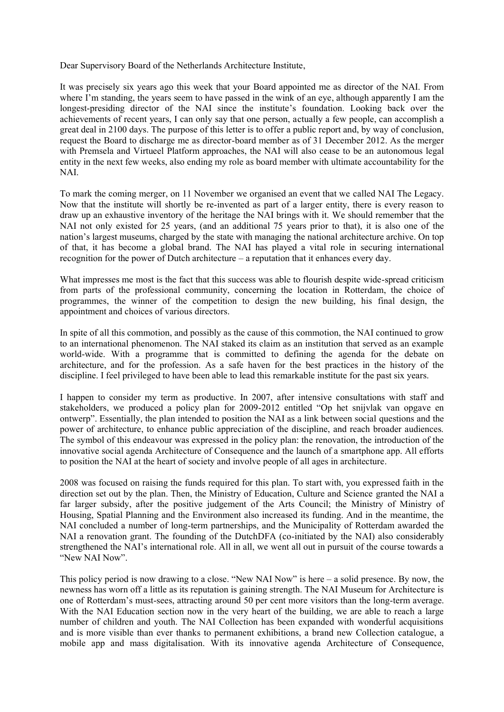Dear Supervisory Board of the Netherlands Architecture Institute,

It was precisely six years ago this week that your Board appointed me as director of the NAI. From where I'm standing, the years seem to have passed in the wink of an eye, although apparently I am the longest-presiding director of the NAI since the institute's foundation. Looking back over the achievements of recent years, I can only say that one person, actually a few people, can accomplish a great deal in 2100 days. The purpose of this letter is to offer a public report and, by way of conclusion, request the Board to discharge me as director-board member as of 31 December 2012. As the merger with Premsela and Virtueel Platform approaches, the NAI will also cease to be an autonomous legal entity in the next few weeks, also ending my role as board member with ultimate accountability for the NAI.

To mark the coming merger, on 11 November we organised an event that we called NAI The Legacy. Now that the institute will shortly be re-invented as part of a larger entity, there is every reason to draw up an exhaustive inventory of the heritage the NAI brings with it. We should remember that the NAI not only existed for 25 years, (and an additional 75 years prior to that), it is also one of the nation's largest museums, charged by the state with managing the national architecture archive. On top of that, it has become a global brand. The NAI has played a vital role in securing international recognition for the power of Dutch architecture – a reputation that it enhances every day.

What impresses me most is the fact that this success was able to flourish despite wide-spread criticism from parts of the professional community, concerning the location in Rotterdam, the choice of programmes, the winner of the competition to design the new building, his final design, the appointment and choices of various directors.

In spite of all this commotion, and possibly as the cause of this commotion, the NAI continued to grow to an international phenomenon. The NAI staked its claim as an institution that served as an example world-wide. With a programme that is committed to defining the agenda for the debate on architecture, and for the profession. As a safe haven for the best practices in the history of the discipline. I feel privileged to have been able to lead this remarkable institute for the past six years.

I happen to consider my term as productive. In 2007, after intensive consultations with staff and stakeholders, we produced a policy plan for 2009-2012 entitled "Op het snijvlak van opgave en ontwerp". Essentially, the plan intended to position the NAI as a link between social questions and the power of architecture, to enhance public appreciation of the discipline, and reach broader audiences. The symbol of this endeavour was expressed in the policy plan: the renovation, the introduction of the innovative social agenda Architecture of Consequence and the launch of a smartphone app. All efforts to position the NAI at the heart of society and involve people of all ages in architecture.

2008 was focused on raising the funds required for this plan. To start with, you expressed faith in the direction set out by the plan. Then, the Ministry of Education, Culture and Science granted the NAI a far larger subsidy, after the positive judgement of the Arts Council; the Ministry of Ministry of Housing, Spatial Planning and the Environment also increased its funding. And in the meantime, the NAI concluded a number of long-term partnerships, and the Municipality of Rotterdam awarded the NAI a renovation grant. The founding of the DutchDFA (co-initiated by the NAI) also considerably strengthened the NAI's international role. All in all, we went all out in pursuit of the course towards a "New NAI Now".

This policy period is now drawing to a close. "New NAI Now" is here – a solid presence. By now, the newness has worn off a little as its reputation is gaining strength. The NAI Museum for Architecture is one of Rotterdam's must-sees, attracting around 50 per cent more visitors than the long-term average. With the NAI Education section now in the very heart of the building, we are able to reach a large number of children and youth. The NAI Collection has been expanded with wonderful acquisitions and is more visible than ever thanks to permanent exhibitions, a brand new Collection catalogue, a mobile app and mass digitalisation. With its innovative agenda Architecture of Consequence,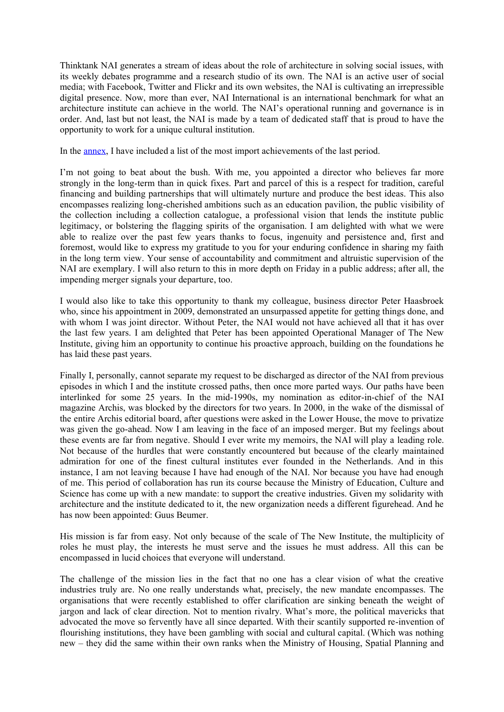Thinktank NAI generates a stream of ideas about the role of architecture in solving social issues, with its weekly debates programme and a research studio of its own. The NAI is an active user of social media; with Facebook, Twitter and Flickr and its own websites, the NAI is cultivating an irrepressible digital presence. Now, more than ever, NAI International is an international benchmark for what an architecture institute can achieve in the world. The NAI's operational running and governance is in order. And, last but not least, the NAI is made by a team of dedicated staff that is proud to have the opportunity to work for a unique cultural institution.

In the [annex,](http://www.nai.nl/mmbase/attachments/1386912/Prestatieoverzicht_2009-2012) I have included a list of the most import achievements of the last period.

I'm not going to beat about the bush. With me, you appointed a director who believes far more strongly in the long-term than in quick fixes. Part and parcel of this is a respect for tradition, careful financing and building partnerships that will ultimately nurture and produce the best ideas. This also encompasses realizing long-cherished ambitions such as an education pavilion, the public visibility of the collection including a collection catalogue, a professional vision that lends the institute public legitimacy, or bolstering the flagging spirits of the organisation. I am delighted with what we were able to realize over the past few years thanks to focus, ingenuity and persistence and, first and foremost, would like to express my gratitude to you for your enduring confidence in sharing my faith in the long term view. Your sense of accountability and commitment and altruistic supervision of the NAI are exemplary. I will also return to this in more depth on Friday in a public address; after all, the impending merger signals your departure, too.

I would also like to take this opportunity to thank my colleague, business director Peter Haasbroek who, since his appointment in 2009, demonstrated an unsurpassed appetite for getting things done, and with whom I was joint director. Without Peter, the NAI would not have achieved all that it has over the last few years. I am delighted that Peter has been appointed Operational Manager of The New Institute, giving him an opportunity to continue his proactive approach, building on the foundations he has laid these past years.

Finally I, personally, cannot separate my request to be discharged as director of the NAI from previous episodes in which I and the institute crossed paths, then once more parted ways. Our paths have been interlinked for some 25 years. In the mid-1990s, my nomination as editor-in-chief of the NAI magazine Archis, was blocked by the directors for two years. In 2000, in the wake of the dismissal of the entire Archis editorial board, after questions were asked in the Lower House, the move to privatize was given the go-ahead. Now I am leaving in the face of an imposed merger. But my feelings about these events are far from negative. Should I ever write my memoirs, the NAI will play a leading role. Not because of the hurdles that were constantly encountered but because of the clearly maintained admiration for one of the finest cultural institutes ever founded in the Netherlands. And in this instance, I am not leaving because I have had enough of the NAI. Nor because you have had enough of me. This period of collaboration has run its course because the Ministry of Education, Culture and Science has come up with a new mandate: to support the creative industries. Given my solidarity with architecture and the institute dedicated to it, the new organization needs a different figurehead. And he has now been appointed: Guus Beumer.

His mission is far from easy. Not only because of the scale of The New Institute, the multiplicity of roles he must play, the interests he must serve and the issues he must address. All this can be encompassed in lucid choices that everyone will understand.

The challenge of the mission lies in the fact that no one has a clear vision of what the creative industries truly are. No one really understands what, precisely, the new mandate encompasses. The organisations that were recently established to offer clarification are sinking beneath the weight of jargon and lack of clear direction. Not to mention rivalry. What's more, the political mavericks that advocated the move so fervently have all since departed. With their scantily supported re-invention of flourishing institutions, they have been gambling with social and cultural capital. (Which was nothing new – they did the same within their own ranks when the Ministry of Housing, Spatial Planning and